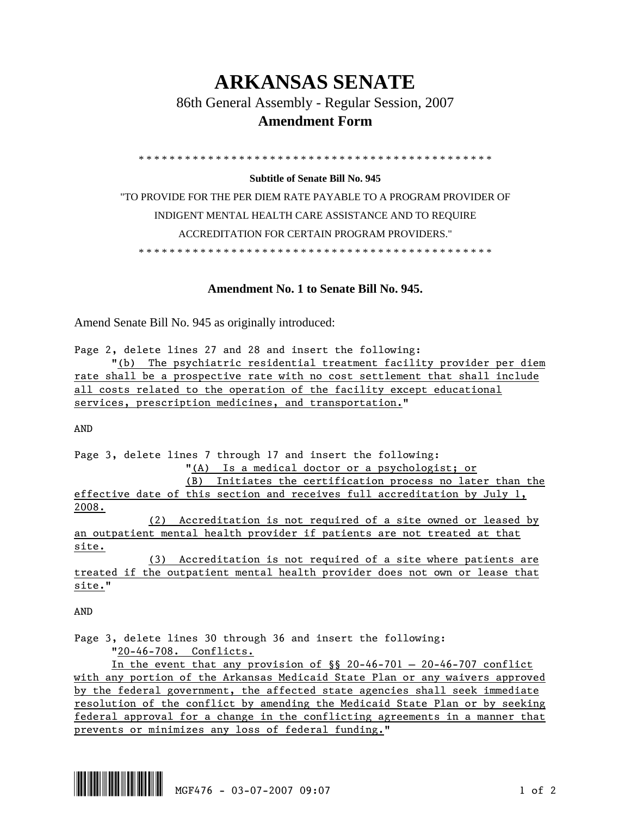## **ARKANSAS SENATE**

86th General Assembly - Regular Session, 2007

## **Amendment Form**

\* \* \* \* \* \* \* \* \* \* \* \* \* \* \* \* \* \* \* \* \* \* \* \* \* \* \* \* \* \* \* \* \* \* \* \* \* \* \* \* \* \* \* \* \* \*

## **Subtitle of Senate Bill No. 945**

"TO PROVIDE FOR THE PER DIEM RATE PAYABLE TO A PROGRAM PROVIDER OF INDIGENT MENTAL HEALTH CARE ASSISTANCE AND TO REQUIRE ACCREDITATION FOR CERTAIN PROGRAM PROVIDERS." \* \* \* \* \* \* \* \* \* \* \* \* \* \* \* \* \* \* \* \* \* \* \* \* \* \* \* \* \* \* \* \* \* \* \* \* \* \* \* \* \* \* \* \* \* \*

## **Amendment No. 1 to Senate Bill No. 945.**

Amend Senate Bill No. 945 as originally introduced:

Page 2, delete lines 27 and 28 and insert the following:

 "(b) The psychiatric residential treatment facility provider per diem rate shall be a prospective rate with no cost settlement that shall include all costs related to the operation of the facility except educational services, prescription medicines, and transportation."

AND

Page 3, delete lines 7 through 17 and insert the following: "(A) Is a medical doctor or a psychologist; or (B) Initiates the certification process no later than the effective date of this section and receives full accreditation by July 1, 2008.

 (2) Accreditation is not required of a site owned or leased by an outpatient mental health provider if patients are not treated at that site.

 (3) Accreditation is not required of a site where patients are treated if the outpatient mental health provider does not own or lease that site."

AND

Page 3, delete lines 30 through 36 and insert the following: "20-46-708. Conflicts.

In the event that any provision of  $\S$  20-46-701 – 20-46-707 conflict with any portion of the Arkansas Medicaid State Plan or any waivers approved by the federal government, the affected state agencies shall seek immediate resolution of the conflict by amending the Medicaid State Plan or by seeking federal approval for a change in the conflicting agreements in a manner that prevents or minimizes any loss of federal funding."